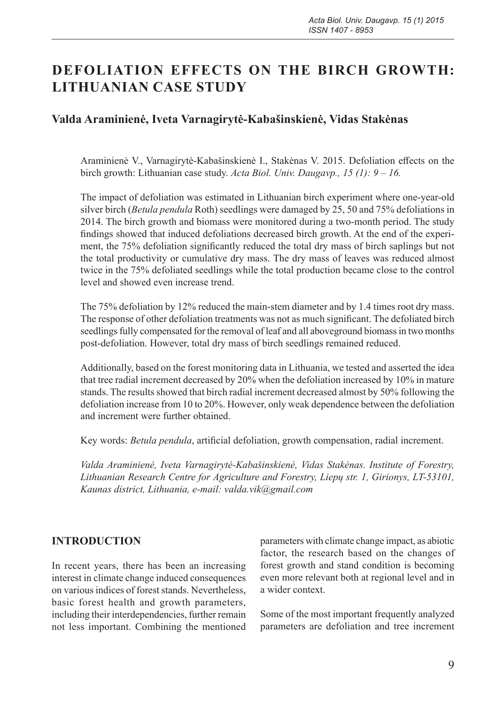# **DEFOLIATION EFFECTS ON THE BIRCH GROWTH: LITHUANIAN CASE STUDY**

## **Valda Araminienė, Iveta Varnagirytė-Kabašinskienė, Vidas Stakėnas**

Araminienė V., Varnagirytė-Kabašinskienė I., Stakėnas V. 2015. Defoliation effects on the birch growth: Lithuanian case study. *Acta Biol. Univ. Daugavp., 15 (1): 9 – 16.*

The impact of defoliation was estimated in Lithuanian birch experiment where one-year-old silver birch (*Betula pendula* Roth) seedlings were damaged by 25, 50 and 75% defoliations in 2014. The birch growth and biomass were monitored during a two-month period. The study findings showed that induced defoliations decreased birch growth. At the end of the experiment, the 75% defoliation significantly reduced the total dry mass of birch saplings but not the total productivity or cumulative dry mass. The dry mass of leaves was reduced almost twice in the 75% defoliated seedlings while the total production became close to the control level and showed even increase trend.

The 75% defoliation by 12% reduced the main-stem diameter and by 1.4 times root dry mass. The response of other defoliation treatments was not as much significant. The defoliated birch seedlings fully compensated for the removal of leaf and all aboveground biomass in two months post-defoliation. However, total dry mass of birch seedlings remained reduced.

Additionally, based on the forest monitoring data in Lithuania, we tested and asserted the idea that tree radial increment decreased by 20% when the defoliation increased by 10% in mature stands. The results showed that birch radial increment decreased almost by 50% following the defoliation increase from 10 to 20%. However, only weak dependence between the defoliation and increment were further obtained.

Key words: *Betula pendula*, artificial defoliation, growth compensation, radial increment.

*Valda Araminienė, Iveta Varnagirytė-Kabašinskienė, Vidas Stakėnas. Institute of Forestry, Lithuanian Research Centre for Agriculture and Forestry, Liepų str. 1, Girionys, LT-53101, Kaunas district, Lithuania, e-mail: valda.vik@gmail.com*

### **INTRODUCTION**

In recent years, there has been an increasing interest in climate change induced consequences on various indices of forest stands. Nevertheless, basic forest health and growth parameters, including their interdependencies, further remain not less important. Combining the mentioned parameters with climate change impact, as abiotic factor, the research based on the changes of forest growth and stand condition is becoming even more relevant both at regional level and in a wider context.

Some of the most important frequently analyzed parameters are defoliation and tree increment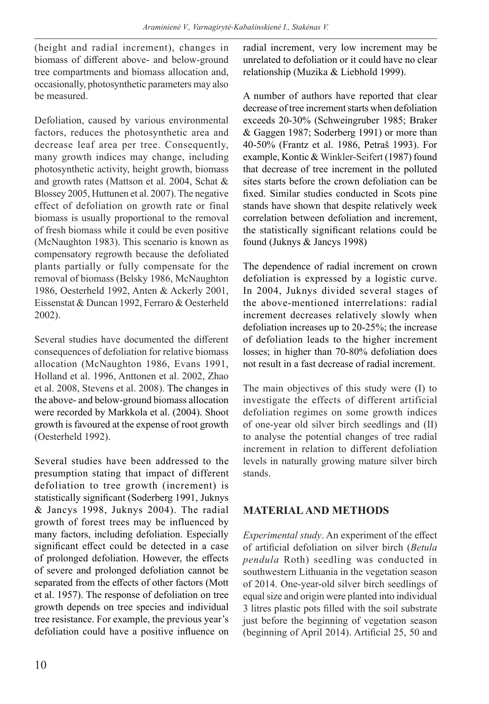(height and radial increment), changes in biomass of different above- and below-ground tree compartments and biomass allocation and, occasionally, photosynthetic parameters may also be measured.

Defoliation, caused by various environmental factors, reduces the photosynthetic area and decrease leaf area per tree. Consequently, many growth indices may change, including photosynthetic activity, height growth, biomass and growth rates (Mattson et al. 2004, Schat & Blossey 2005, Huttunen et al. 2007). The negative effect of defoliation on growth rate or final biomass is usually proportional to the removal of fresh biomass while it could be even positive (McNaughton 1983). This scenario is known as compensatory regrowth because the defoliated plants partially or fully compensate for the removal of biomass (Belsky 1986, McNaughton 1986, Oesterheld 1992, Anten & Ackerly 2001, Eissenstat & Duncan 1992, Ferraro & Oesterheld 2002).

Several studies have documented the different consequences of defoliation for relative biomass allocation (McNaughton 1986, Evans 1991, Holland et al. 1996, Anttonen et al. 2002, Zhao et al. 2008, Stevens et al. 2008). The changes in the above- and below-ground biomass allocation were recorded by Markkola et al. (2004). Shoot growth is favoured at the expense of root growth (Oesterheld 1992).

Several studies have been addressed to the presumption stating that impact of different defoliation to tree growth (increment) is statistically significant (Soderberg 1991, Juknys & Jancys 1998, Juknys 2004). The radial growth of forest trees may be influenced by many factors, including defoliation. Especially significant effect could be detected in a case of prolonged defoliation. However, the effects of severe and prolonged defoliation cannot be separated from the effects of other factors (Mott et al. 1957). The response of defoliation on tree growth depends on tree species and individual tree resistance. For example, the previous year's defoliation could have a positive influence on radial increment, very low increment may be unrelated to defoliation or it could have no clear relationship (Muzika & Liebhold 1999).

A number of authors have reported that clear decrease of tree increment starts when defoliation exceeds 20-30% (Schweingruber 1985; Braker & Gaggen 1987; Soderberg 1991) or more than 40-50% (Frantz et al. 1986, Petraš 1993). For example, Kontic & Winkler-Seifert (1987) found that decrease of tree increment in the polluted sites starts before the crown defoliation can be fixed. Similar studies conducted in Scots pine stands have shown that despite relatively week correlation between defoliation and increment, the statistically significant relations could be found (Juknys & Jancys 1998)

The dependence of radial increment on crown defoliation is expressed by a logistic curve. In 2004, Juknys divided several stages of the above-mentioned interrelations: radial increment decreases relatively slowly when defoliation increases up to 20-25%; the increase of defoliation leads to the higher increment losses; in higher than 70-80% defoliation does not result in a fast decrease of radial increment.

The main objectives of this study were (I) to investigate the effects of different artificial defoliation regimes on some growth indices of one-year old silver birch seedlings and (II) to analyse the potential changes of tree radial increment in relation to different defoliation levels in naturally growing mature silver birch stands.

### **MATERIAL AND METHODS**

*Experimental study*. An experiment of the effect of artificial defoliation on silver birch (*Betula pendula* Roth) seedling was conducted in southwestern Lithuania in the vegetation season of 2014. One-year-old silver birch seedlings of equal size and origin were planted into individual 3 litres plastic pots filled with the soil substrate just before the beginning of vegetation season (beginning of April 2014). Artificial 25, 50 and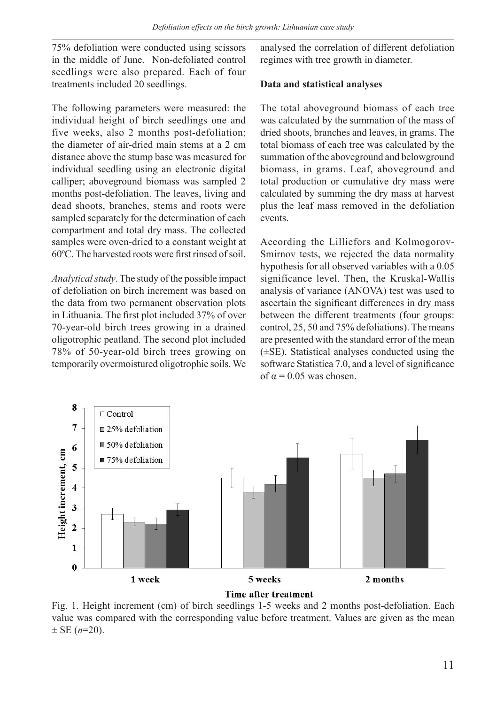75% defoliation were conducted using scissors in the middle of June. Non-defoliated control seedlings were also prepared. Each of four treatments included 20 seedlings.

The following parameters were measured: the individual height of birch seedlings one and five weeks, also 2 months post-defoliation; the diameter of air-dried main stems at a 2 cm distance above the stump base was measured for individual seedling using an electronic digital calliper; aboveground biomass was sampled 2 months post-defoliation. The leaves, living and dead shoots, branches, stems and roots were sampled separately for the determination of each compartment and total dry mass. The collected samples were oven-dried to a constant weight at 60ºC. The harvested roots were first rinsed of soil.

*Analytical study*. The study of the possible impact of defoliation on birch increment was based on the data from two permanent observation plots in Lithuania. The first plot included 37% of over 70-year-old birch trees growing in a drained oligotrophic peatland. The second plot included 78% of 50-year-old birch trees growing on temporarily overmoistured oligotrophic soils. We

analysed the correlation of different defoliation regimes with tree growth in diameter.

#### **Data and statistical analyses**

The total aboveground biomass of each tree was calculated by the summation of the mass of dried shoots, branches and leaves, in grams. The total biomass of each tree was calculated by the summation of the aboveground and belowground biomass, in grams. Leaf, aboveground and total production or cumulative dry mass were calculated by summing the dry mass at harvest plus the leaf mass removed in the defoliation events.

According the Lilliefors and Kolmogorov-Smirnov tests, we rejected the data normality hypothesis for all observed variables with a 0.05 significance level. Then, the Kruskal-Wallis analysis of variance (ANOVA) test was used to ascertain the significant differences in dry mass between the different treatments (four groups: control, 25, 50 and 75% defoliations). The means are presented with the standard error of the mean (±SE). Statistical analyses conducted using the software Statistica 7.0, and a level of significance of  $\alpha$  = 0.05 was chosen.



Fig. 1. Height increment (cm) of birch seedlings 1-5 weeks and 2 months post-defoliation. Each value was compared with the corresponding value before treatment. Values are given as the mean  $\pm$  SE ( $n=20$ ).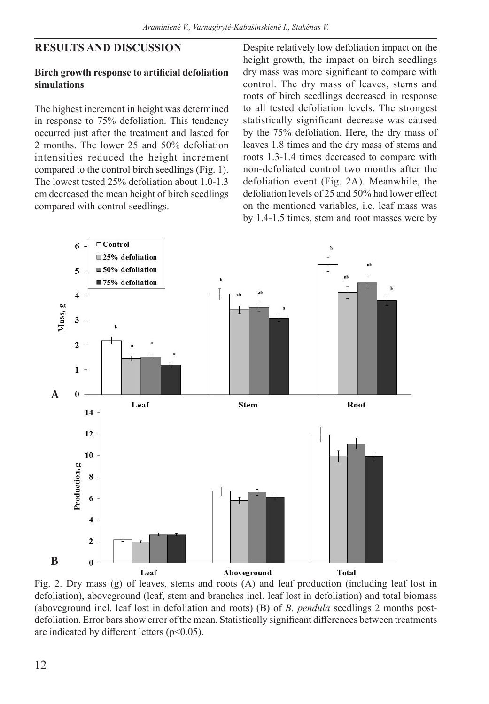### **RESULTS AND DISCUSSION**

#### **Birch growth response to artificial defoliation simulations**

The highest increment in height was determined in response to 75% defoliation. This tendency occurred just after the treatment and lasted for 2 months. The lower 25 and 50% defoliation intensities reduced the height increment compared to the control birch seedlings (Fig. 1). The lowest tested 25% defoliation about 1.0-1.3 cm decreased the mean height of birch seedlings compared with control seedlings.

Despite relatively low defoliation impact on the height growth, the impact on birch seedlings dry mass was more significant to compare with control. The dry mass of leaves, stems and roots of birch seedlings decreased in response to all tested defoliation levels. The strongest statistically significant decrease was caused by the 75% defoliation. Here, the dry mass of leaves 1.8 times and the dry mass of stems and roots 1.3-1.4 times decreased to compare with non-defoliated control two months after the defoliation event (Fig. 2A). Meanwhile, the defoliation levels of 25 and 50% had lower effect on the mentioned variables, i.e. leaf mass was by 1.4-1.5 times, stem and root masses were by



Fig. 2. Dry mass (g) of leaves, stems and roots (A) and leaf production (including leaf lost in defoliation), aboveground (leaf, stem and branches incl. leaf lost in defoliation) and total biomass (aboveground incl. leaf lost in defoliation and roots) (B) of *B. pendula* seedlings 2 months postdefoliation. Error bars show error of the mean. Statistically significant differences between treatments are indicated by different letters  $(p<0.05)$ .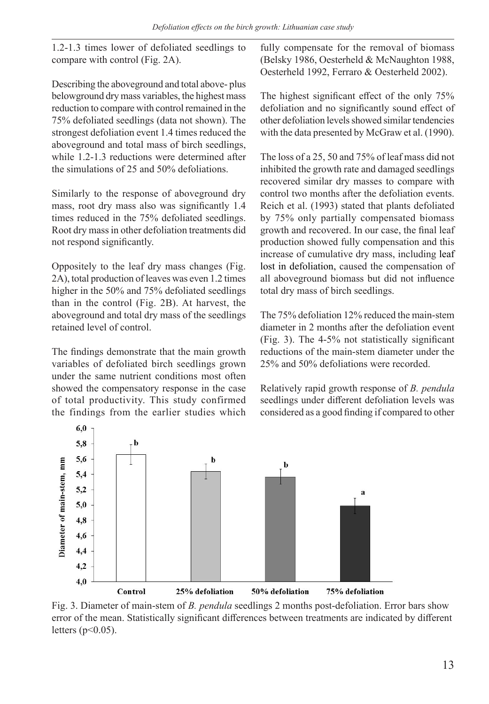1.2-1.3 times lower of defoliated seedlings to compare with control (Fig. 2A).

Describing the aboveground and total above- plus belowground dry mass variables, the highest mass reduction to compare with control remained in the 75% defoliated seedlings (data not shown). The strongest defoliation event 1.4 times reduced the aboveground and total mass of birch seedlings, while 1.2-1.3 reductions were determined after the simulations of 25 and 50% defoliations.

Similarly to the response of aboveground dry mass, root dry mass also was significantly 1.4 times reduced in the 75% defoliated seedlings. Root dry mass in other defoliation treatments did not respond significantly.

Oppositely to the leaf dry mass changes (Fig. 2A), total production of leaves was even 1.2 times higher in the 50% and 75% defoliated seedlings than in the control (Fig. 2B). At harvest, the aboveground and total dry mass of the seedlings retained level of control.

The findings demonstrate that the main growth variables of defoliated birch seedlings grown under the same nutrient conditions most often showed the compensatory response in the case of total productivity. This study confirmed the findings from the earlier studies which

fully compensate for the removal of biomass (Belsky 1986, Oesterheld & McNaughton 1988, Oesterheld 1992, Ferraro & Oesterheld 2002).

The highest significant effect of the only 75% defoliation and no significantly sound effect of other defoliation levels showed similar tendencies with the data presented by McGraw et al. (1990).

The loss of a 25, 50 and 75% of leaf mass did not inhibited the growth rate and damaged seedlings recovered similar dry masses to compare with control two months after the defoliation events. Reich et al. (1993) stated that plants defoliated by 75% only partially compensated biomass growth and recovered. In our case, the final leaf production showed fully compensation and this increase of cumulative dry mass, including leaf lost in defoliation, caused the compensation of all aboveground biomass but did not influence total dry mass of birch seedlings.

The 75% defoliation 12% reduced the main-stem diameter in 2 months after the defoliation event (Fig. 3). The 4-5% not statistically significant reductions of the main-stem diameter under the 25% and 50% defoliations were recorded.

Relatively rapid growth response of *B. pendula*  seedlings under different defoliation levels was considered as a good finding if compared to other



Fig. 3. Diameter of main-stem of *B. pendula* seedlings 2 months post-defoliation. Error bars show error of the mean. Statistically significant differences between treatments are indicated by different letters  $(p<0.05)$ .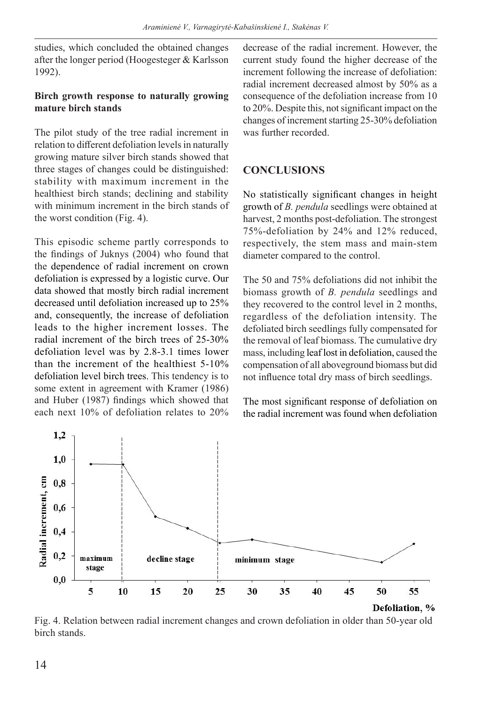studies, which concluded the obtained changes after the longer period (Hoogesteger & Karlsson 1992).

### **Birch growth response to naturally growing mature birch stands**

The pilot study of the tree radial increment in relation to different defoliation levels in naturally growing mature silver birch stands showed that three stages of changes could be distinguished: stability with maximum increment in the healthiest birch stands; declining and stability with minimum increment in the birch stands of the worst condition (Fig. 4).

This episodic scheme partly corresponds to the findings of Juknys (2004) who found that the dependence of radial increment on crown defoliation is expressed by a logistic curve. Our data showed that mostly birch radial increment decreased until defoliation increased up to 25% and, consequently, the increase of defoliation leads to the higher increment losses. The radial increment of the birch trees of 25-30% defoliation level was by 2.8-3.1 times lower than the increment of the healthiest 5-10% defoliation level birch trees. This tendency is to some extent in agreement with Kramer (1986) and Huber (1987) findings which showed that each next 10% of defoliation relates to 20% decrease of the radial increment. However, the current study found the higher decrease of the increment following the increase of defoliation: radial increment decreased almost by 50% as a consequence of the defoliation increase from 10 to 20%. Despite this, not significant impact on the changes of increment starting 25-30% defoliation was further recorded.

### **CONCLUSIONS**

No statistically significant changes in height growth of *B. pendula* seedlings were obtained at harvest, 2 months post-defoliation. The strongest 75%-defoliation by 24% and 12% reduced, respectively, the stem mass and main-stem diameter compared to the control.

The 50 and 75% defoliations did not inhibit the biomass growth of *B. pendula* seedlings and they recovered to the control level in 2 months, regardless of the defoliation intensity. The defoliated birch seedlings fully compensated for the removal of leaf biomass. The cumulative dry mass, including leaf lost in defoliation, caused the compensation of all aboveground biomass but did not influence total dry mass of birch seedlings.

The most significant response of defoliation on the radial increment was found when defoliation



Fig. 4. Relation between radial increment changes and crown defoliation in older than 50-year old birch stands.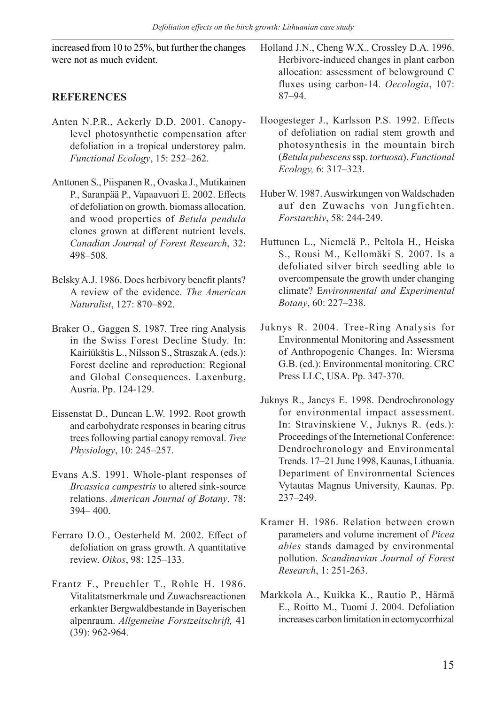increased from 10 to 25%, but further the changes were not as much evident.

# **REFERENCES**

- Anten N.P.R., Ackerly D.D. 2001. Canopylevel photosynthetic compensation after defoliation in a tropical understorey palm. *Functional Ecology*, 15: 252–262.
- Anttonen S., Piispanen R., Ovaska J., Mutikainen P., Saranpää P., Vapaavuori E. 2002. Effects of defoliation on growth, biomass allocation, and wood properties of *Betula pendula* clones grown at different nutrient levels. *Canadian Journal of Forest Research*, 32: 498–508.
- Belsky A.J. 1986. Does herbivory benefit plants? A review of the evidence. *The American Naturalist*, 127: 870–892.
- Braker O., Gaggen S. 1987. Tree ring Analysis in the Swiss Forest Decline Study. In: Kairiūkštis L., Nilsson S., Straszak A. (eds.): Forest decline and reproduction: Regional and Global Consequences. Laxenburg, Ausria. Pp. 124-129.
- Eissenstat D., Duncan L.W. 1992. Root growth and carbohydrate responses in bearing citrus trees following partial canopy removal. *Tree Physiology*, 10: 245–257.
- Evans A.S. 1991. Whole-plant responses of *Brcassica campestris* to altered sink-source relations. *American Journal of Botany*, 78: 394– 400.
- Ferraro D.O., Oesterheld M. 2002. Effect of defoliation on grass growth. A quantitative review. *Oikos*, 98: 125–133.
- Frantz F., Preuchler T., Rohle H. 1986. Vitalitatsmerkmale und Zuwachsreactionen erkankter Bergwaldbestande in Bayerischen alpenraum. *Allgemeine Forstzeitschrift,* 41 (39): 962-964.

Holland J.N., Cheng W.X., Crossley D.A. 1996. Herbivore-induced changes in plant carbon allocation: assessment of belowground C fluxes using carbon-14. *Oecologia*, 107: 87–94.

- Hoogesteger J., Karlsson P.S. 1992. Effects of defoliation on radial stem growth and photosynthesis in the mountain birch (*Betula pubescens* ssp. *tortuosa*). *Functional Ecology,* 6: 317–323.
- Huber W. 1987. Auswirkungen von Waldschaden auf den Zuwachs von Jungfichten. *Forstarchiv*, 58: 244-249.
- Huttunen L., Niemelä P., Peltola H., Heiska S., Rousi M., Kellomäki S. 2007. Is a defoliated silver birch seedling able to overcompensate the growth under changing climate? E*nvironmental and Experimental Botany*, 60: 227–238.
- Juknys R. 2004. Tree-Ring Analysis for Environmental Monitoring and Assessment of Anthropogenic Changes. In: Wiersma G.B. (ed.): Environmental monitoring. CRC Press LLC, USA. Pp. 347-370.
- Juknys R., Jancys E. 1998. Dendrochronology for environmental impact assessment. In: Stravinskiene V., Juknys R. (eds.): Proceedings of the Internetional Conference: Dendrochronology and Environmental Trends. 17–21 June 1998, Kaunas, Lithuania. Department of Environmental Sciences Vytautas Magnus University, Kaunas. Pp. 237–249.
- Kramer H. 1986. Relation between crown parameters and volume increment of *Picea abies* stands damaged by environmental pollution. *Scandinavian Journal of Forest Research*, 1: 251-263.
- Markkola A., Kuikka K., Rautio P., Härmä E., Roitto M., Tuomi J. 2004. Defoliation increases carbon limitation in ectomycorrhizal